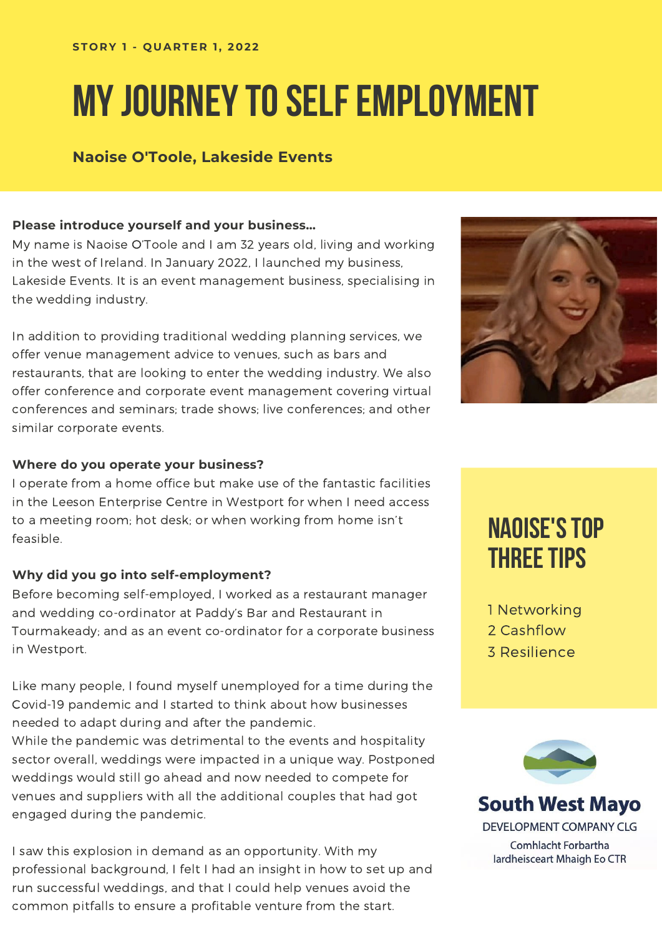# **MY JOURNEY TO SELF EMPLOYMENT**

#### **Naoise O'Toole, Lakeside Events**

#### **Please introduce yourself and your business…**

My name is Naoise O'Toole and I am 32 years old, living and working in the west of Ireland. In January 2022, I launched my business, Lakeside Events. It is an event management business, specialising in the wedding industry.

In addition to providing traditional wedding planning services, we offer venue management advice to venues, such as bars and restaurants, that are looking to enter the wedding industry. We also offer conference and corporate event management covering virtual conferences and seminars; trade shows; live conferences; and other similar corporate events.

#### **Where do you operate your business?**

I operate from a home office but make use of the fantastic facilities in the Leeson Enterprise Centre in Westport for when I need access to a meeting room; hot desk; or when working from home isn't feasible.

#### **Why did you go into self-employment?**

Before becoming self-employed, I worked as a restaurant manager and wedding co-ordinator at Paddy's Bar and Restaurant in Tourmakeady; and as an event co-ordinator for a corporate business in Westport.

Like many people, I found myself unemployed for a time during the Covid-19 pandemic and I started to think about how businesses needed to adapt during and after the pandemic.

While the pandemic was detrimental to the events and hospitality sector overall, weddings were impacted in a unique way. Postponed weddings would still go ahead and now needed to compete for venues and suppliers with all the additional couples that had got engaged during the pandemic.

I saw this explosion in demand as an opportunity. With my professional background, I felt I had an insight in how to set up and run successful weddings, and that I could help venues avoid the common pitfalls to ensure a profitable venture from the start.



### **NAOISE'STOP THREETIPS**

1 Networking 2 Cashflow 3 Resilience



**South West Mayo** DEVELOPMENT COMPANY CLG Comhlacht Forbartha lardheisceart Mhaigh Eo CTR